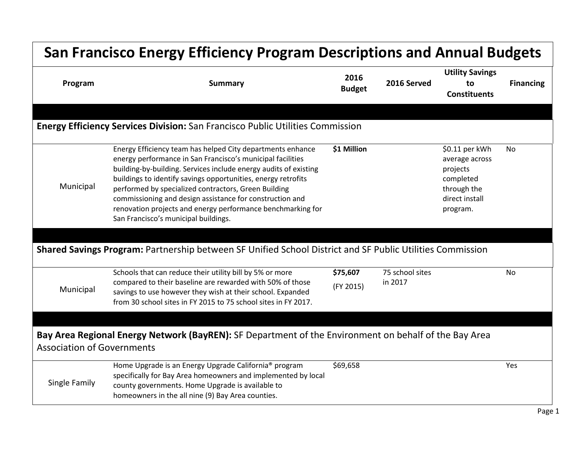| <b>San Francisco Energy Efficiency Program Descriptions and Annual Budgets</b> |                                                                                                                                                                                                                                                                                                                                                                                                                                                                                                                                                                                                       |                                      |                            |                                                                                                        |                  |  |
|--------------------------------------------------------------------------------|-------------------------------------------------------------------------------------------------------------------------------------------------------------------------------------------------------------------------------------------------------------------------------------------------------------------------------------------------------------------------------------------------------------------------------------------------------------------------------------------------------------------------------------------------------------------------------------------------------|--------------------------------------|----------------------------|--------------------------------------------------------------------------------------------------------|------------------|--|
| Program                                                                        | <b>Summary</b>                                                                                                                                                                                                                                                                                                                                                                                                                                                                                                                                                                                        | 2016<br>2016 Served<br><b>Budget</b> |                            | <b>Utility Savings</b><br>to<br><b>Constituents</b>                                                    | <b>Financing</b> |  |
|                                                                                | <b>Energy Efficiency Services Division:</b> San Francisco Public Utilities Commission                                                                                                                                                                                                                                                                                                                                                                                                                                                                                                                 |                                      |                            |                                                                                                        |                  |  |
| Municipal                                                                      | Energy Efficiency team has helped City departments enhance<br>energy performance in San Francisco's municipal facilities<br>building-by-building. Services include energy audits of existing<br>buildings to identify savings opportunities, energy retrofits<br>performed by specialized contractors, Green Building<br>commissioning and design assistance for construction and<br>renovation projects and energy performance benchmarking for<br>San Francisco's municipal buildings.<br>Shared Savings Program: Partnership between SF Unified School District and SF Public Utilities Commission | \$1 Million                          |                            | \$0.11 per kWh<br>average across<br>projects<br>completed<br>through the<br>direct install<br>program. | No.              |  |
|                                                                                |                                                                                                                                                                                                                                                                                                                                                                                                                                                                                                                                                                                                       |                                      |                            |                                                                                                        |                  |  |
| Municipal                                                                      | Schools that can reduce their utility bill by 5% or more<br>compared to their baseline are rewarded with 50% of those<br>savings to use however they wish at their school. Expanded<br>from 30 school sites in FY 2015 to 75 school sites in FY 2017.                                                                                                                                                                                                                                                                                                                                                 | \$75,607<br>(FY 2015)                | 75 school sites<br>in 2017 |                                                                                                        | <b>No</b>        |  |
|                                                                                |                                                                                                                                                                                                                                                                                                                                                                                                                                                                                                                                                                                                       |                                      |                            |                                                                                                        |                  |  |
| <b>Association of Governments</b>                                              | Bay Area Regional Energy Network (BayREN): SF Department of the Environment on behalf of the Bay Area                                                                                                                                                                                                                                                                                                                                                                                                                                                                                                 |                                      |                            |                                                                                                        |                  |  |
| Single Family                                                                  | Home Upgrade is an Energy Upgrade California <sup>®</sup> program<br>specifically for Bay Area homeowners and implemented by local<br>county governments. Home Upgrade is available to<br>homeowners in the all nine (9) Bay Area counties.                                                                                                                                                                                                                                                                                                                                                           | \$69,658                             |                            |                                                                                                        | Yes              |  |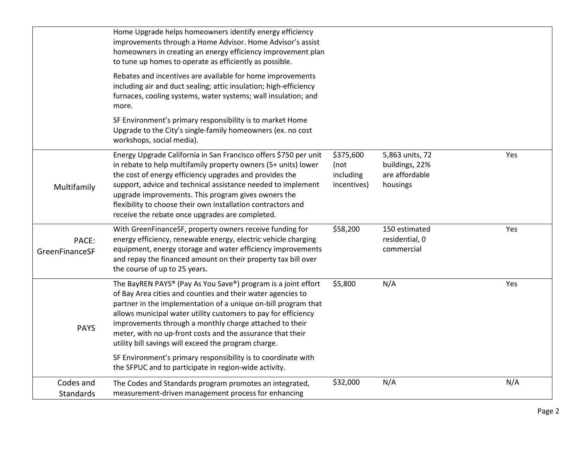|                               | Home Upgrade helps homeowners identify energy efficiency<br>improvements through a Home Advisor. Home Advisor's assist<br>homeowners in creating an energy efficiency improvement plan<br>to tune up homes to operate as efficiently as possible.                                                                                                                                                                                                                                                                                                                           |                                               |                                                                 |     |
|-------------------------------|-----------------------------------------------------------------------------------------------------------------------------------------------------------------------------------------------------------------------------------------------------------------------------------------------------------------------------------------------------------------------------------------------------------------------------------------------------------------------------------------------------------------------------------------------------------------------------|-----------------------------------------------|-----------------------------------------------------------------|-----|
|                               | Rebates and incentives are available for home improvements<br>including air and duct sealing; attic insulation; high-efficiency<br>furnaces, cooling systems, water systems; wall insulation; and<br>more.                                                                                                                                                                                                                                                                                                                                                                  |                                               |                                                                 |     |
|                               | SF Environment's primary responsibility is to market Home<br>Upgrade to the City's single-family homeowners (ex. no cost<br>workshops, social media).                                                                                                                                                                                                                                                                                                                                                                                                                       |                                               |                                                                 |     |
| Multifamily                   | Energy Upgrade California in San Francisco offers \$750 per unit<br>in rebate to help multifamily property owners (5+ units) lower<br>the cost of energy efficiency upgrades and provides the<br>support, advice and technical assistance needed to implement<br>upgrade improvements. This program gives owners the<br>flexibility to choose their own installation contractors and<br>receive the rebate once upgrades are completed.                                                                                                                                     | \$375,600<br>(not<br>including<br>incentives) | 5,863 units, 72<br>buildings, 22%<br>are affordable<br>housings | Yes |
| PACE:<br>GreenFinanceSF       | With GreenFinanceSF, property owners receive funding for<br>energy efficiency, renewable energy, electric vehicle charging<br>equipment, energy storage and water efficiency improvements<br>and repay the financed amount on their property tax bill over<br>the course of up to 25 years.                                                                                                                                                                                                                                                                                 | \$58,200                                      | 150 estimated<br>residential, 0<br>commercial                   | Yes |
| <b>PAYS</b>                   | The BayREN PAYS® (Pay As You Save®) program is a joint effort<br>of Bay Area cities and counties and their water agencies to<br>partner in the implementation of a unique on-bill program that<br>allows municipal water utility customers to pay for efficiency<br>improvements through a monthly charge attached to their<br>meter, with no up-front costs and the assurance that their<br>utility bill savings will exceed the program charge.<br>SF Environment's primary responsibility is to coordinate with<br>the SFPUC and to participate in region-wide activity. | \$5,800                                       | N/A                                                             | Yes |
| Codes and<br><b>Standards</b> | The Codes and Standards program promotes an integrated,<br>measurement-driven management process for enhancing                                                                                                                                                                                                                                                                                                                                                                                                                                                              | \$32,000                                      | N/A                                                             | N/A |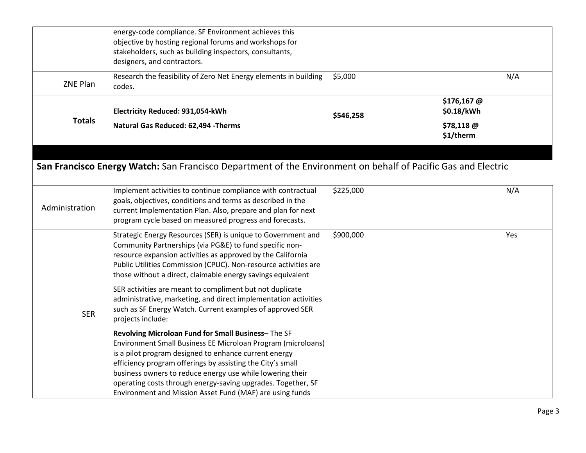|                | energy-code compliance. SF Environment achieves this<br>objective by hosting regional forums and workshops for<br>stakeholders, such as building inspectors, consultants,<br>designers, and contractors.                                                                                                                                                                                                                           |           |                          |
|----------------|------------------------------------------------------------------------------------------------------------------------------------------------------------------------------------------------------------------------------------------------------------------------------------------------------------------------------------------------------------------------------------------------------------------------------------|-----------|--------------------------|
| ZNE Plan       | Research the feasibility of Zero Net Energy elements in building<br>codes.                                                                                                                                                                                                                                                                                                                                                         | \$5,000   | N/A                      |
| <b>Totals</b>  | Electricity Reduced: 931,054-kWh                                                                                                                                                                                                                                                                                                                                                                                                   | \$546,258 | \$176,167@<br>\$0.18/kWh |
|                | Natural Gas Reduced: 62,494 - Therms                                                                                                                                                                                                                                                                                                                                                                                               |           | \$78,118 @<br>\$1/therm  |
|                | San Francisco Energy Watch: San Francisco Department of the Environment on behalf of Pacific Gas and Electric<br>Implement activities to continue compliance with contractual                                                                                                                                                                                                                                                      | \$225,000 | N/A                      |
| Administration | goals, objectives, conditions and terms as described in the<br>current Implementation Plan. Also, prepare and plan for next<br>program cycle based on measured progress and forecasts.                                                                                                                                                                                                                                             |           |                          |
|                | Strategic Energy Resources (SER) is unique to Government and<br>Community Partnerships (via PG&E) to fund specific non-<br>resource expansion activities as approved by the California<br>Public Utilities Commission (CPUC). Non-resource activities are<br>those without a direct, claimable energy savings equivalent                                                                                                           | \$900,000 | Yes                      |
| <b>SER</b>     | SER activities are meant to compliment but not duplicate<br>administrative, marketing, and direct implementation activities<br>such as SF Energy Watch. Current examples of approved SER<br>projects include:                                                                                                                                                                                                                      |           |                          |
|                | Revolving Microloan Fund for Small Business-The SF<br>Environment Small Business EE Microloan Program (microloans)<br>is a pilot program designed to enhance current energy<br>efficiency program offerings by assisting the City's small<br>business owners to reduce energy use while lowering their<br>operating costs through energy-saving upgrades. Together, SF<br>Environment and Mission Asset Fund (MAF) are using funds |           |                          |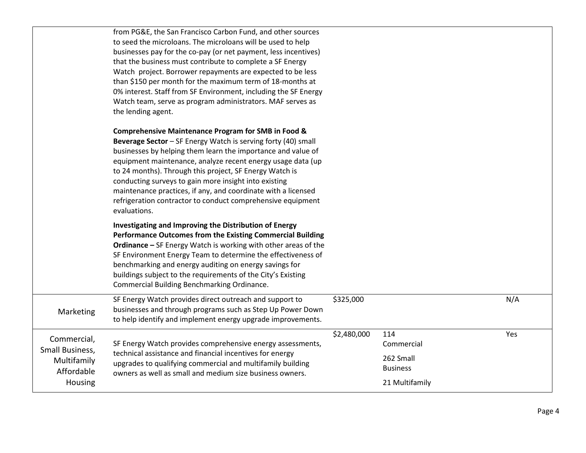|                                                                        | from PG&E, the San Francisco Carbon Fund, and other sources<br>to seed the microloans. The microloans will be used to help<br>businesses pay for the co-pay (or net payment, less incentives)<br>that the business must contribute to complete a SF Energy<br>Watch project. Borrower repayments are expected to be less<br>than \$150 per month for the maximum term of 18-months at<br>0% interest. Staff from SF Environment, including the SF Energy<br>Watch team, serve as program administrators. MAF serves as<br>the lending agent. |             |                                                                     |     |
|------------------------------------------------------------------------|----------------------------------------------------------------------------------------------------------------------------------------------------------------------------------------------------------------------------------------------------------------------------------------------------------------------------------------------------------------------------------------------------------------------------------------------------------------------------------------------------------------------------------------------|-------------|---------------------------------------------------------------------|-----|
|                                                                        | <b>Comprehensive Maintenance Program for SMB in Food &amp;</b><br>Beverage Sector - SF Energy Watch is serving forty (40) small<br>businesses by helping them learn the importance and value of<br>equipment maintenance, analyze recent energy usage data (up<br>to 24 months). Through this project, SF Energy Watch is<br>conducting surveys to gain more insight into existing<br>maintenance practices, if any, and coordinate with a licensed<br>refrigeration contractor to conduct comprehensive equipment<br>evaluations.           |             |                                                                     |     |
|                                                                        | Investigating and Improving the Distribution of Energy<br>Performance Outcomes from the Existing Commercial Building<br><b>Ordinance</b> - SF Energy Watch is working with other areas of the<br>SF Environment Energy Team to determine the effectiveness of<br>benchmarking and energy auditing on energy savings for<br>buildings subject to the requirements of the City's Existing<br>Commercial Building Benchmarking Ordinance.                                                                                                       |             |                                                                     |     |
| Marketing                                                              | SF Energy Watch provides direct outreach and support to<br>businesses and through programs such as Step Up Power Down<br>to help identify and implement energy upgrade improvements.                                                                                                                                                                                                                                                                                                                                                         | \$325,000   |                                                                     | N/A |
| Commercial,<br>Small Business,<br>Multifamily<br>Affordable<br>Housing | SF Energy Watch provides comprehensive energy assessments,<br>technical assistance and financial incentives for energy<br>upgrades to qualifying commercial and multifamily building<br>owners as well as small and medium size business owners.                                                                                                                                                                                                                                                                                             | \$2,480,000 | 114<br>Commercial<br>262 Small<br><b>Business</b><br>21 Multifamily | Yes |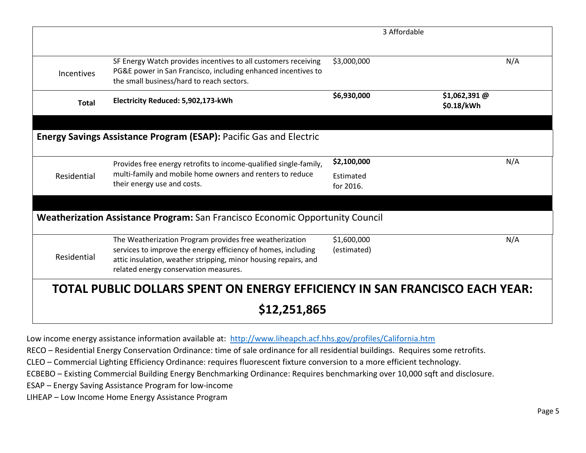|              |                                                                                                                                                                              | 3 Affordable           |                              |
|--------------|------------------------------------------------------------------------------------------------------------------------------------------------------------------------------|------------------------|------------------------------|
| Incentives   | SF Energy Watch provides incentives to all customers receiving<br>PG&E power in San Francisco, including enhanced incentives to<br>the small business/hard to reach sectors. | \$3,000,000            | N/A                          |
| <b>Total</b> | Electricity Reduced: 5,902,173-kWh                                                                                                                                           | \$6,930,000            | $$1,062,391$ @<br>\$0.18/kWh |
|              | <b>Energy Savings Assistance Program (ESAP): Pacific Gas and Electric</b>                                                                                                    |                        |                              |
|              | Provides free energy retrofits to income-qualified single-family,                                                                                                            | \$2,100,000            | N/A                          |
| Residential  | multi-family and mobile home owners and renters to reduce<br>their energy use and costs.                                                                                     | Estimated<br>for 2016. |                              |
|              | Weatherization Assistance Program: San Francisco Economic Opportunity Council<br>The Weatherization Program provides free weatherization                                     | \$1,600,000            | N/A                          |
| Residential  | services to improve the energy efficiency of homes, including<br>attic insulation, weather stripping, minor housing repairs, and<br>related energy conservation measures.    | (estimated)            |                              |
|              | TOTAL PUBLIC DOLLARS SPENT ON ENERGY EFFICIENCY IN SAN FRANCISCO EACH YEAR:                                                                                                  |                        |                              |
|              | \$12,251,865                                                                                                                                                                 |                        |                              |

Low income energy assistance information available at: <http://www.liheapch.acf.hhs.gov/profiles/California.htm>

RECO – Residential Energy Conservation Ordinance: time of sale ordinance for all residential buildings. Requires some retrofits.

CLEO – Commercial Lighting Efficiency Ordinance: requires fluorescent fixture conversion to a more efficient technology.

ECBEBO – Existing Commercial Building Energy Benchmarking Ordinance: Requires benchmarking over 10,000 sqft and disclosure.

ESAP – Energy Saving Assistance Program for low-income

LIHEAP – Low Income Home Energy Assistance Program